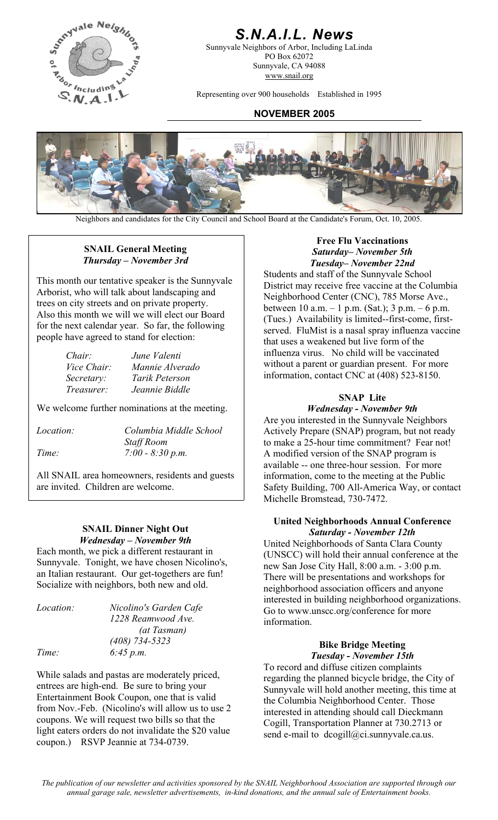

### *S.N.A.I.L. News*

Sunnyvale Neighbors of Arbor, Including LaLinda PO Box 62072 Sunnyvale, CA 94088 www.snail.org

Representing over 900 households Established in 1995

#### **NOVEMBER 2005**



Neighbors and candidates for the City Council and School Board at the Candidate's Forum, Oct. 10, 2005.

#### **SNAIL General Meeting**  *Thursday – November 3rd*

This month our tentative speaker is the Sunnyvale Arborist, who will talk about landscaping and trees on city streets and on private property. Also this month we will we will elect our Board for the next calendar year. So far, the following people have agreed to stand for election:

| Chair:            | June Valenti    |
|-------------------|-----------------|
| Vice Chair:       | Mannie Alverado |
| Secretary:        | Tarik Peterson  |
| <i>Treasurer:</i> | Jeannie Biddle  |

We welcome further nominations at the meeting. **Wednesday - November 9th** 

| Columbia Middle School |
|------------------------|
| <b>Staff Room</b>      |
| $7:00 - 8:30 p.m.$     |
|                        |

All SNAIL area homeowners, residents and guests are invited. Children are welcome.

# *Wednesday – November 9th*

Each month, we pick a different restaurant in Sunnyvale. Tonight, we have chosen Nicolino's, an Italian restaurant. Our get-togethers are fun! an Italian restaurant. Our get-togethers are fun!<br>Socialize with neighbors, both new and old.<br>Residences and anyone

| Location: | Nicolino's Garden C |
|-----------|---------------------|
|           | 1228 Reamwood Av    |
|           | (at Tasman)         |
|           | $(408)$ 734-5323    |
| Time:     | 6:45 p.m.           |

While salads and pastas are moderately priced, entrees are high-end. Be sure to bring your Entertainment Book Coupon, one that is valid from Nov.-Feb. (Nicolino's will allow us to use 2 coupons. We will request two bills so that the light eaters orders do not invalidate the \$20 value coupon.) RSVP Jeannie at 734-0739.

#### **Free Flu Vaccinations**  *Saturday– November 5th Tuesday– November 22nd*

Students and staff of the Sunnyvale School District may receive free vaccine at the Columbia Neighborhood Center (CNC), 785 Morse Ave., between 10 a.m. – 1 p.m. (Sat.); 3 p.m. – 6 p.m. (Tues.) Availability is limited--first-come, firstserved. FluMist is a nasal spray influenza vaccine that uses a weakened but live form of the influenza virus. No child will be vaccinated without a parent or guardian present. For more information, contact CNC at (408) 523-8150.

#### **SNAP Lite**

Are you interested in the Sunnyvale Neighbors Actively Prepare (SNAP) program, but not ready to make a 25-hour time commitment? Fear not! A modified version of the SNAP program is available -- one three-hour session. For more information, come to the meeting at the Public Safety Building, 700 All-America Way, or contact Michelle Bromstead, 730-7472.

## **United Neighborhoods Annual Conference**<br>SNAIL Dinner Night Out<br>Saturday - November 12th

United Neighborhoods of Santa Clara County (UNSCC) will hold their annual conference at the new San Jose City Hall, 8:00 a.m. - 3:00 p.m. neighborhood association officers and anyone interested in building neighborhood organizations. Go to www.unscc.org/conference for more *Location: Nicolino's Garden Cafe*  information.

### *(408) 734-5323* **Bike Bridge Meeting** *Time: 6:45 p.m. Tuesday - November 15th*

To record and diffuse citizen complaints regarding the planned bicycle bridge, the City of Sunnyvale will hold another meeting, this time at the Columbia Neighborhood Center. Those interested in attending should call Dieckmann Cogill, Transportation Planner at 730.2713 or send e-mail to dcogill@ci.sunnyvale.ca.us.

*The publication of our newsletter and activities sponsored by the SNAIL Neighborhood Association are supported through our annual garage sale, newsletter advertisements, in-kind donations, and the annual sale of Entertainment books.*